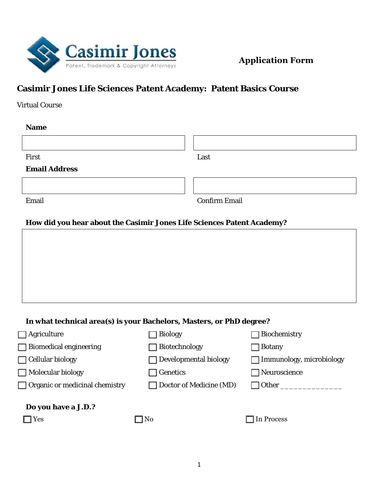

# **Casimir Jones Life Sciences Patent Academy: Patent Basics Course**

Virtual Course

| <b>Name</b>          |                      |
|----------------------|----------------------|
|                      |                      |
| First                | Last                 |
| <b>Email Address</b> |                      |
|                      |                      |
| Email                | <b>Confirm Email</b> |

### **How did you hear about the Casimir Jones Life Sciences Patent Academy?**

| In what technical area(s) is your Bachelors, Masters, or PhD degree? |  |  |
|----------------------------------------------------------------------|--|--|
|                                                                      |  |  |

| $\Box$ Agriculture                            | <b>Biology</b>               | <b>Biochemistry</b>             |
|-----------------------------------------------|------------------------------|---------------------------------|
| <b>Biomedical engineering</b><br>$\mathbf{I}$ | $\Box$ Biotechnology         | <b>Botany</b>                   |
| $\Box$ Cellular biology                       | $\Box$ Developmental biology | $\Box$ Immunology, microbiology |
| $\Box$ Molecular biology                      | $\Box$ Genetics              | $\Box$ Neuroscience             |
| $\Box$ Organic or medicinal chemistry         | Doctor of Medicine (MD)      | Other                           |
| Do you have a J.D.?                           |                              |                                 |
| $\exists$ Yes                                 | $\square$ No                 | $\Box$ In Process               |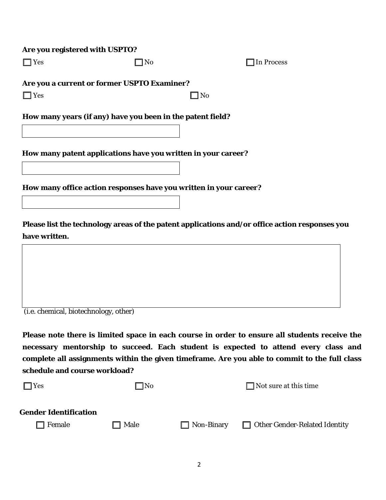#### **Are you registered with USPTO?**

| ٧ |
|---|
|---|

□ No □ In Process

 **Are you a current or former USPTO Examiner?** 

| $\Box$ Yes | $\Box$ No |  |
|------------|-----------|--|
|            |           |  |

**How many years (if any) have you been in the patent field?** 

**How many patent applications have you written in your career?** 

 **How many office action responses have you written in your career?** 

**Please list the technology areas of the patent applications and/or office action responses you have written.** 

(i.e. chemical, biotechnology, other)

**Please note there is limited space in each course in order to ensure all students receive the necessary mentorship to succeed. Each student is expected to attend every class and complete all assignments within the given timeframe. Are you able to commit to the full class schedule and course workload?** 

| $\square$ No |                   | $\Box$ Not sure at this time         |
|--------------|-------------------|--------------------------------------|
| $\Box$ Male  | $\Box$ Non-Binary | $\Box$ Other Gender-Related Identity |
|              |                   |                                      |